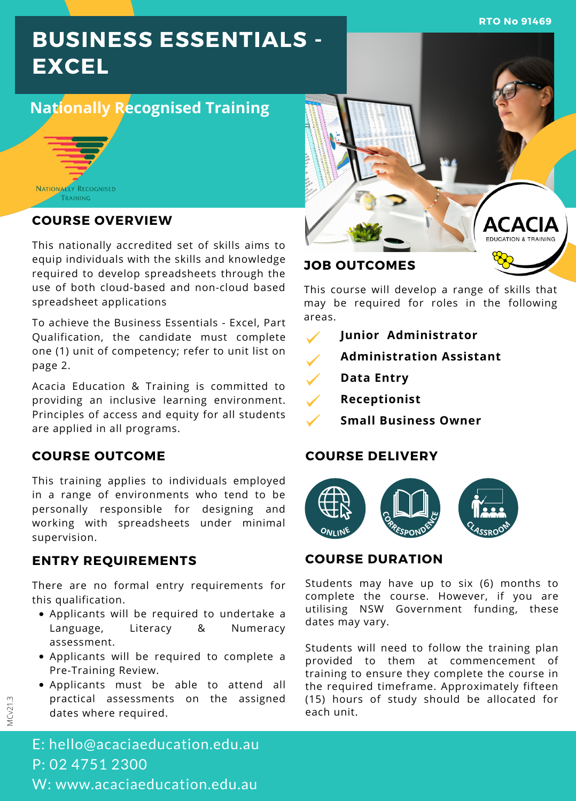**RTO No 91469**

# **BUSINESS ESSENTIALS - EXCEL**

# **Nationally Recognised Training**



# **COURSE OVERVIEW**

This nationally accredited set of skills aims to equip individuals with the skills and knowledge required to develop spreadsheets through the use of both cloud-based and non-cloud based spreadsheet applications

To achieve the Business Essentials - Excel, Part Qualification, the candidate must complete one (1) unit of competency; refer to unit list on page 2.

Acacia Education & Training is committed to providing an inclusive learning environment. Principles of access and equity for all students are applied in all programs.

# **COURSE OUTCOME**

This training applies to individuals employed in a range of environments who tend to be personally responsible for designing and working with spreadsheets under minimal supervision.

# **ENTRY REQUIREMENTS**

There are no formal entry requirements for this qualification.

- Applicants will be required to undertake a Language, Literacy & Numeracy assessment.
- Applicants will be required to complete a Pre-Training Review.
- Applicants must be able to attend all practical assessments on the assigned dates where required.



This course will develop a range of skills that may be required for roles in the following areas.

- **Junior Administrator**  $\checkmark$
- **Administration Assistant**
- ✓ **Data Entry**
- **Receptionist**
	- **Small Business Owner**

# **COURSE DELIVERY**



# **COURSE DURATION**

Students may have up to six (6) months to complete the course. However, if you are utilising NSW Government funding, these dates may vary.

Students will need to follow the training plan provided to them at commencement of training to ensure they complete the course in the required timeframe. Approximately fifteen (15) hours of study should be allocated for each unit.

E: hello@acaciaeducation.edu.au P: 02 4751 2300 W: www.acaciaeducation.edu.au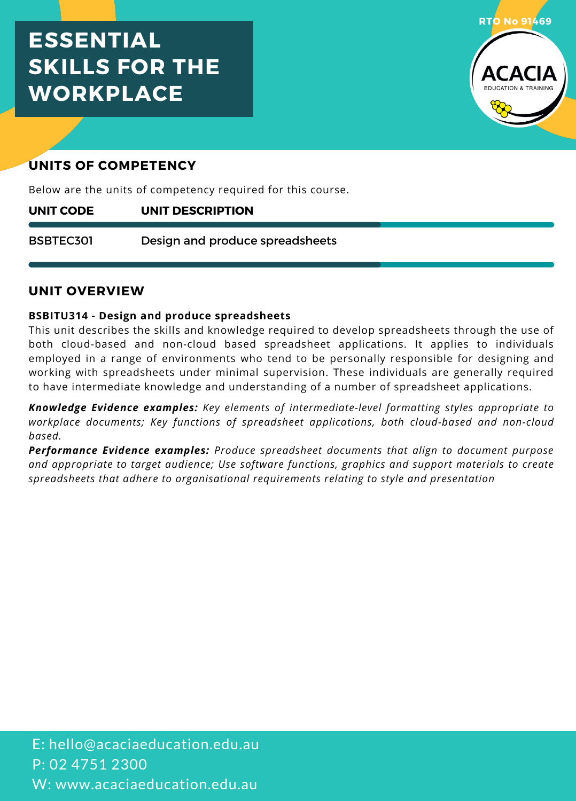# **ESSENTIAL SKILLS FOR THE WORKPLACE**



# **UNITS OF COMPETENCY**

Below are the units of competency required for this course.

#### **UNIT DESCRIPTION UNIT CODE**

Design and produce spreadsheets BSBTEC301

# **UNIT OVERVIEW**

### **BSBITU314 - Design and produce spreadsheets**

This unit describes the skills and knowledge required to develop spreadsheets through the use of both cloud-based and non-cloud based spreadsheet applications. It applies to individuals employed in a range of environments who tend to be personally responsible for designing and working with spreadsheets under minimal supervision. These individuals are generally required to have intermediate knowledge and understanding of a number of spreadsheet applications.

*Knowledge Evidence examples: Key elements of intermediate-level formatting styles appropriate to workplace documents; Key functions of spreadsheet applications, both cloud-based and non-cloud based.*

*Performance Evidence examples: Produce spreadsheet documents that align to document purpose and appropriate to target audience; Use software functions, graphics and support materials to create spreadsheets that adhere to organisational requirements relating to style and presentation*